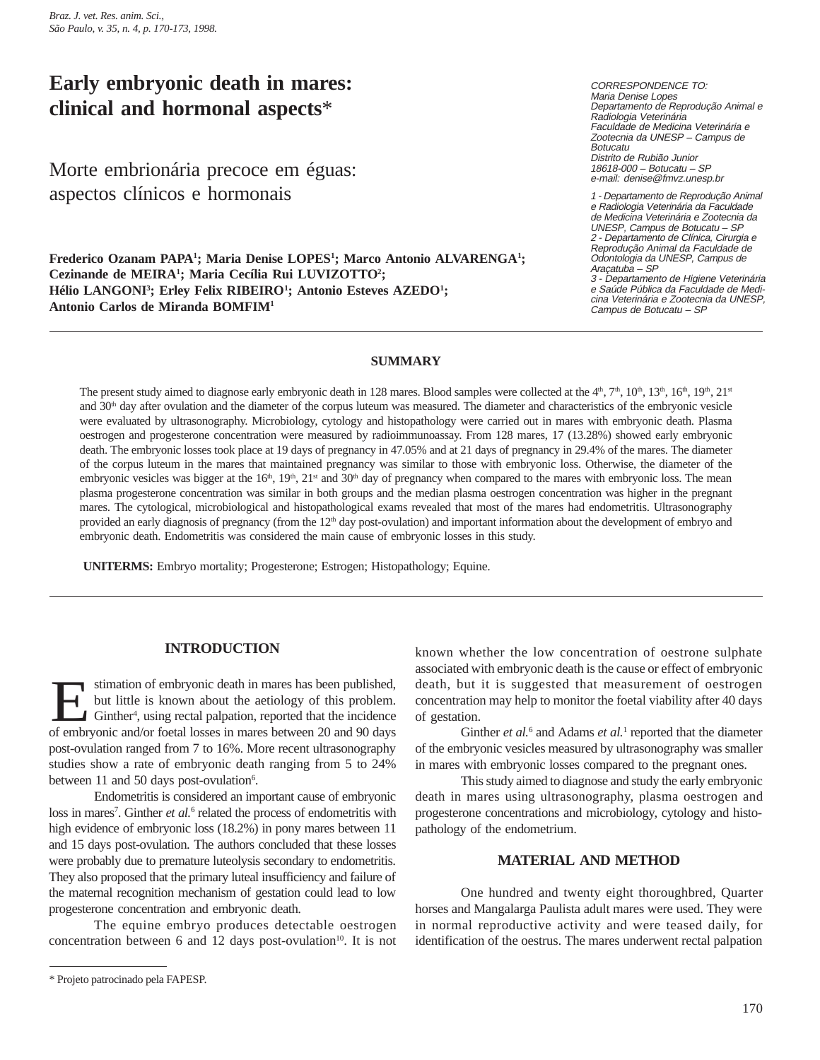# **Early embryonic death in mares: clinical and hormonal aspects**\*

Morte embrionária precoce em éguas: aspectos clínicos e hormonais

Frederico Ozanam PAPA<sup>1</sup>; Maria Denise LOPES<sup>1</sup>; Marco Antonio ALVARENGA<sup>1</sup>; **Cezinande de MEIRA1 ; Maria Cecília Rui LUVIZOTTO2 ;** Hélio LANGONI<sup>3</sup>; Erley Felix RIBEIRO<sup>1</sup>; Antonio Esteves AZEDO<sup>1</sup>; **Antonio Carlos de Miranda BOMFIM1**

CORRESPONDENCE TO: Maria Denise Lopes Departamento de Reprodução Animal e Radiologia Veterinária Faculdade de Medicina Veterinária e Zootecnia da UNESP – Campus de Botucatu Distrito de Rubião Junior 18618-000 – Botucatu – SP e-mail: denise@fmvz.unesp.br

1 - Departamento de Reprodução Animal e Radiologia Veterinária da Faculdade de Medicina Veterinária e Zootecnia da UNESP, Campus de Botucatu – SP 2 - Departamento de Clínica, Cirurgia e Reprodução Animal da Faculdade de Odontologia da UNESP, Campus de Araçatuba – SP

3 - Departamento de Higiene Veterinária e Saúde Pública da Faculdade de Medicina Veterinária e Zootecnia da UNESP, Campus de Botucatu – SP

# **SUMMARY**

The present study aimed to diagnose early embryonic death in 128 mares. Blood samples were collected at the  $4<sup>th</sup>$ ,  $7<sup>th</sup>$ ,  $10<sup>th</sup>$ ,  $13<sup>th</sup>$ ,  $16<sup>th</sup>$ ,  $19<sup>th</sup>$ ,  $21<sup>st</sup>$ and 30<sup>th</sup> day after ovulation and the diameter of the corpus luteum was measured. The diameter and characteristics of the embryonic vesicle were evaluated by ultrasonography. Microbiology, cytology and histopathology were carried out in mares with embryonic death. Plasma oestrogen and progesterone concentration were measured by radioimmunoassay. From 128 mares, 17 (13.28%) showed early embryonic death. The embryonic losses took place at 19 days of pregnancy in 47.05% and at 21 days of pregnancy in 29.4% of the mares. The diameter of the corpus luteum in the mares that maintained pregnancy was similar to those with embryonic loss. Otherwise, the diameter of the embryonic vesicles was bigger at the  $16<sup>th</sup>$ ,  $19<sup>th</sup>$ ,  $21<sup>st</sup>$  and  $30<sup>th</sup>$  day of pregnancy when compared to the mares with embryonic loss. The mean plasma progesterone concentration was similar in both groups and the median plasma oestrogen concentration was higher in the pregnant mares. The cytological, microbiological and histopathological exams revealed that most of the mares had endometritis. Ultrasonography provided an early diagnosis of pregnancy (from the 12<sup>th</sup> day post-ovulation) and important information about the development of embryo and embryonic death. Endometritis was considered the main cause of embryonic losses in this study.

**UNITERMS:** Embryo mortality; Progesterone; Estrogen; Histopathology; Equine.

# **INTRODUCTION**

stimation of embryonic death in mares has been published,<br>but little is known about the aetiology of this problem.<br>Ginther<sup>4</sup>, using rectal palpation, reported that the incidence<br>of embryonic and/or foetal losses in mares stimation of embryonic death in mares has been published, but little is known about the aetiology of this problem. Ginther<sup>4</sup>, using rectal palpation, reported that the incidence post-ovulation ranged from 7 to 16%. More recent ultrasonography studies show a rate of embryonic death ranging from 5 to 24% between 11 and 50 days post-ovulation<sup>6</sup>.

Endometritis is considered an important cause of embryonic loss in mares<sup>7</sup>. Ginther *et al.*<sup>6</sup> related the process of endometritis with high evidence of embryonic loss  $(18.2%)$  in pony mares between 11 and 15 days post-ovulation. The authors concluded that these losses were probably due to premature luteolysis secondary to endometritis. They also proposed that the primary luteal insufficiency and failure of the maternal recognition mechanism of gestation could lead to low progesterone concentration and embryonic death.

The equine embryo produces detectable oestrogen concentration between 6 and 12 days post-ovulation $10$ . It is not known whether the low concentration of oestrone sulphate associated with embryonic death is the cause or effect of embryonic death, but it is suggested that measurement of oestrogen concentration may help to monitor the foetal viability after 40 days of gestation.

Ginther *et al.*<sup>6</sup> and Adams *et al.*<sup>1</sup> reported that the diameter of the embryonic vesicles measured by ultrasonography was smaller in mares with embryonic losses compared to the pregnant ones.

This study aimed to diagnose and study the early embryonic death in mares using ultrasonography, plasma oestrogen and progesterone concentrations and microbiology, cytology and histopathology of the endometrium.

# **MATERIAL AND METHOD**

One hundred and twenty eight thoroughbred, Quarter horses and Mangalarga Paulista adult mares were used. They were in normal reproductive activity and were teased daily, for identification of the oestrus. The mares underwent rectal palpation

<sup>\*</sup> Projeto patrocinado pela FAPESP.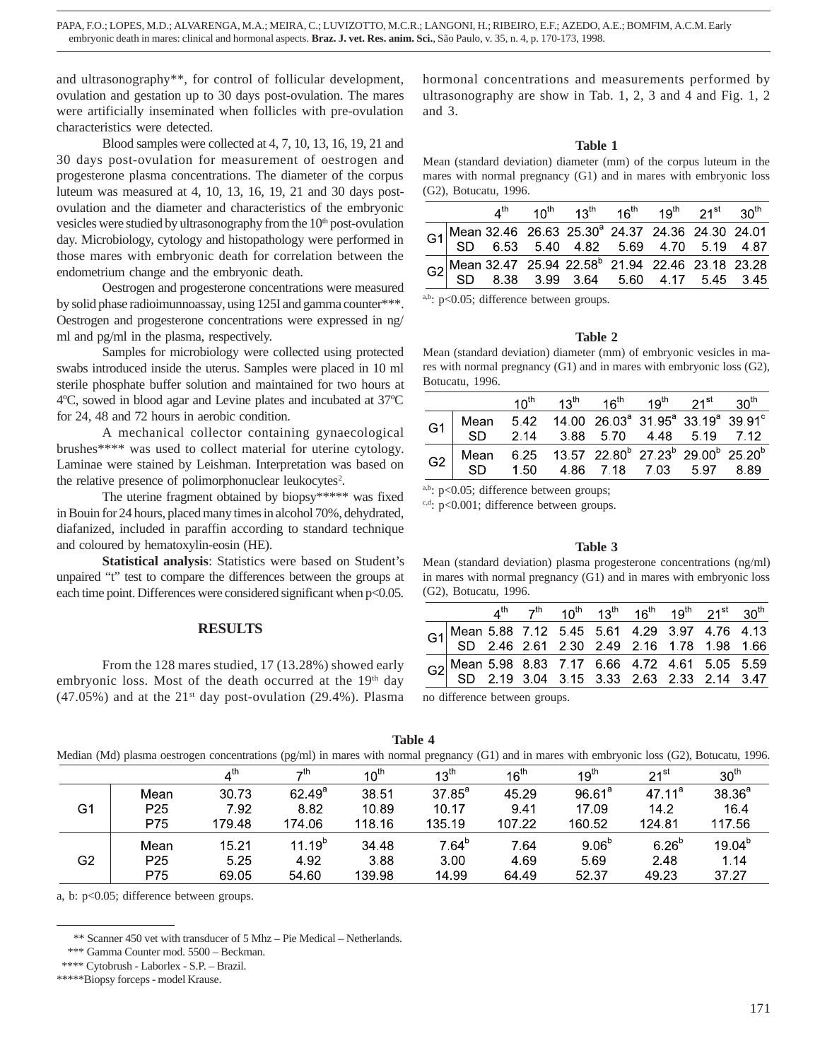and ultrasonography\*\*, for control of follicular development, ovulation and gestation up to 30 days post-ovulation. The mares were artificially inseminated when follicles with pre-ovulation characteristics were detected.

Blood samples were collected at 4, 7, 10, 13, 16, 19, 21 and 30 days post-ovulation for measurement of oestrogen and progesterone plasma concentrations. The diameter of the corpus luteum was measured at 4, 10, 13, 16, 19, 21 and 30 days postovulation and the diameter and characteristics of the embryonic vesicles were studied by ultrasonography from the  $10<sup>th</sup>$  post-ovulation day. Microbiology, cytology and histopathology were performed in those mares with embryonic death for correlation between the endometrium change and the embryonic death.

Oestrogen and progesterone concentrations were measured by solid phase radioimunnoassay, using 125I and gamma counter\*\*\*. Oestrogen and progesterone concentrations were expressed in ng/ ml and pg/ml in the plasma, respectively.

Samples for microbiology were collected using protected swabs introduced inside the uterus. Samples were placed in 10 ml sterile phosphate buffer solution and maintained for two hours at 4ºC, sowed in blood agar and Levine plates and incubated at 37ºC for 24, 48 and 72 hours in aerobic condition.

A mechanical collector containing gynaecological brushes\*\*\*\* was used to collect material for uterine cytology. Laminae were stained by Leishman. Interpretation was based on the relative presence of polimorphonuclear leukocytes<sup>2</sup>.

The uterine fragment obtained by biopsy\*\*\*\*\* was fixed in Bouin for 24 hours, placed many times in alcohol 70%, dehydrated, diafanized, included in paraffin according to standard technique and coloured by hematoxylin-eosin (HE).

**Statistical analysis**: Statistics were based on Student's unpaired "t" test to compare the differences between the groups at each time point. Differences were considered significant when  $p<0.05$ .

# **RESULTS**

From the 128 mares studied, 17 (13.28%) showed early embryonic loss. Most of the death occurred at the  $19<sup>th</sup>$  day (47.05%) and at the  $21<sup>st</sup>$  day post-ovulation (29.4%). Plasma hormonal concentrations and measurements performed by ultrasonography are show in Tab. 1, 2, 3 and 4 and Fig. 1, 2 and 3.

## **Table 1**

Mean (standard deviation) diameter (mm) of the corpus luteum in the mares with normal pregnancy (G1) and in mares with embryonic loss (G2), Botucatu, 1996.

|  |  | 4 <sup>th</sup> 10 <sup>th</sup> 13 <sup>th</sup> 16 <sup>th</sup> 19 <sup>th</sup> 21 <sup>st</sup> 30 <sup>th</sup> |  |  |
|--|--|-----------------------------------------------------------------------------------------------------------------------|--|--|
|  |  | G1 Mean 32.46 26.63 25.30 <sup>ª</sup> 24.37 24.36 24.30 24.01<br>SD 6.53 5.40 4.82 5.69 4.70 5.19 4.87               |  |  |
|  |  |                                                                                                                       |  |  |
|  |  | G2 Mean 32.47 25.94 22.58 21.94 22.46 23.18 23.28<br>SD 8.38 3.99 3.64 5.60 4.17 5.45 3.45                            |  |  |

a,b: p<0.05; difference between groups.

#### **Table 2**

Mean (standard deviation) diameter (mm) of embryonic vesicles in mares with normal pregnancy (G1) and in mares with embryonic loss (G2), Botucatu, 1996.

|    |                                                                                                      |  | $10^{\text{th}}$ $13^{\text{th}}$ $16^{\text{th}}$ $19^{\text{th}}$ $21^{\text{st}}$ $30^{\text{th}}$                 |  |  |
|----|------------------------------------------------------------------------------------------------------|--|-----------------------------------------------------------------------------------------------------------------------|--|--|
| G1 | Mean 5.42                                                                                            |  | 14.00 26.03 <sup>a</sup> 31.95 <sup>a</sup> 33.19 <sup>a</sup> 39.91 <sup>c</sup><br>SD 2.14 3.88 5.70 4.48 5.19 7.12 |  |  |
| G2 | Mean 6.25 13.57 22.80 <sup>b</sup> 27.23 <sup>b</sup> 29.00 <sup>b</sup> 25.20 <sup>b</sup><br>-SD - |  | 1.50  4.86  7.18  7.03  5.97  8.89                                                                                    |  |  |

a,b:  $p<0.05$ ; difference between groups;

c,d: p<0.001; difference between groups.

#### **Table 3**

Mean (standard deviation) plasma progesterone concentrations (ng/ml) in mares with normal pregnancy (G1) and in mares with embryonic loss (G2), Botucatu, 1996.

|                                                                                               |  |  |  | $4^{th}$ $7^{th}$ $10^{th}$ $13^{th}$ $16^{th}$ $19^{th}$ $21^{st}$ $30^{th}$ |  |
|-----------------------------------------------------------------------------------------------|--|--|--|-------------------------------------------------------------------------------|--|
| G1 Mean 5.88 7.12 5.45 5.61 4.29 3.97 4.76 4.13<br>SD 2.46 2.61 2.30 2.49 2.16 1.78 1.98 1.66 |  |  |  |                                                                               |  |
|                                                                                               |  |  |  |                                                                               |  |
| G2 Mean 5.98 8.83 7.17 6.66 4.72 4.61 5.05 5.59<br>SD 2.19 3.04 3.15 3.33 2.63 2.33 2.14 3.47 |  |  |  |                                                                               |  |
|                                                                                               |  |  |  |                                                                               |  |
|                                                                                               |  |  |  |                                                                               |  |

no difference between groups.

**Table 4**

Median (Md) plasma oestrogen concentrations (pg/ml) in mares with normal pregnancy (G1) and in mares with embryonic loss (G2), Botucatu, 1996.

|    |                 | $4^{\text{th}}$ | $-th$           | $10^{\text{th}}$ | 13 <sup>th</sup> | $16^{th}$ | $19^{\text{th}}$  | $21^{st}$          | 30 <sup>th</sup> |
|----|-----------------|-----------------|-----------------|------------------|------------------|-----------|-------------------|--------------------|------------------|
|    | Mean            | 30.73           | $62.49^{\circ}$ | 38.51            | $37.85^{\circ}$  | 45.29     | $96.61^a$         | 47.11 <sup>a</sup> | $38.36^{a}$      |
| G1 | P <sub>25</sub> | 7.92            | 8.82            | 10.89            | 10.17            | 9.41      | 17.09             | 14.2               | 16.4             |
|    | P75             | 179.48          | 174.06          | 118.16           | 135.19           | 107.22    | 160.52            | 124.81             | 117.56           |
|    | Mean            | 15.21           | $11.19^{b}$     | 34.48            | $7.64^b$         | 7 64      | 9.06 <sup>b</sup> | 6.26 <sup>b</sup>  | $19.04^{b}$      |
| G2 | P <sub>25</sub> | 5.25            | 4.92            | 3.88             | 3.00             | 4.69      | 5.69              | 2.48               | 1.14             |
|    | P75             | 69.05           | 54.60           | 139.98           | 14.99            | 64.49     | 52 37             | 49.23              | 37.27            |
|    |                 |                 |                 |                  |                  |           |                   |                    |                  |

a, b: p<0.05; difference between groups.

 <sup>\*\*</sup> Scanner 450 vet with transducer of 5 Mhz – Pie Medical – Netherlands.

 <sup>\*\*\*</sup> Gamma Counter mod. 5500 – Beckman.

 <sup>\*\*\*\*</sup> Cytobrush - Laborlex - S.P. – Brazil.

<sup>\*\*\*\*\*</sup>Biopsy forceps - model Krause.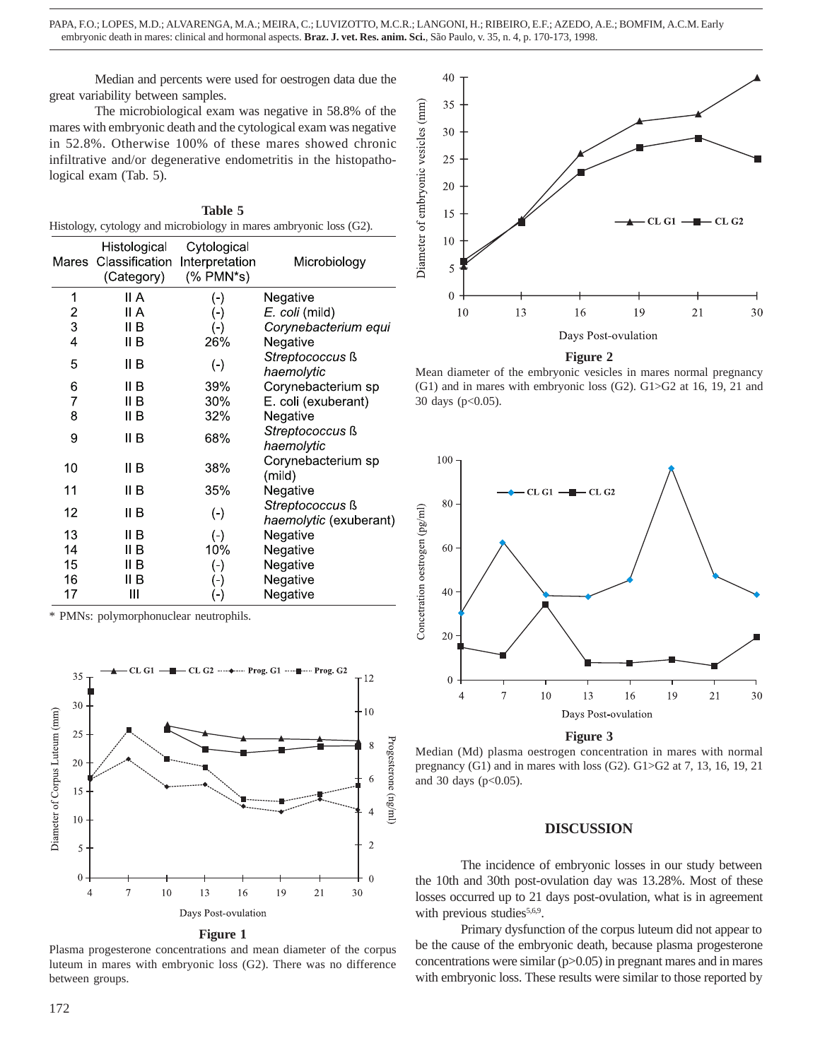Median and percents were used for oestrogen data due the great variability between samples.

The microbiological exam was negative in 58.8% of the mares with embryonic death and the cytological exam was negative in 52.8%. Otherwise 100% of these mares showed chronic infiltrative and/or degenerative endometritis in the histopathological exam (Tab. 5).

| Table 5                                                            |  |
|--------------------------------------------------------------------|--|
| Histology, cytology and microbiology in mares ambryonic loss (G2). |  |

| Mares  | <b>HIStological</b><br>Classification<br>(Category) | Cytological<br>Interpretation<br>$(% )^{2}($ PMN*s) | Microbiology           |
|--------|-----------------------------------------------------|-----------------------------------------------------|------------------------|
| 1      | II A                                                | (-)                                                 | Negative               |
|        | II A                                                | $(\textnormal{-})$                                  | E. coli (mild)         |
| 2<br>3 | II B                                                | $(\text{-})$                                        | Corynebacterium equi   |
| 4      | II B                                                | 26%                                                 | Negative               |
| 5      | II B                                                | $(\text{-})$                                        | Streptococcus ß        |
|        |                                                     |                                                     | haemolytic             |
| 6      | II B                                                | 39%                                                 | Corynebacterium sp     |
| 7      | II B                                                | 30%                                                 | E. coli (exuberant)    |
| 8      | II B                                                | 32%                                                 | Negative               |
| 9      | II B                                                | 68%                                                 | Streptococcus ß        |
|        |                                                     |                                                     | haemolytic             |
| 10     | II B                                                | 38%                                                 | Corynebacterium sp     |
|        |                                                     |                                                     | (mild)                 |
| 11     | II B                                                | 35%                                                 | Negative               |
| 12     | II B                                                |                                                     | Streptococcus ß        |
|        |                                                     | $(\textnormal{-})$                                  | haemolytic (exuberant) |
| 13     | II B                                                | $(\textnormal{-})$                                  | Negative               |
| 14     | II B                                                | 10%                                                 | Negative               |
| 15     | II B                                                | $(\textnormal{-})$                                  | Negative               |
| 16     | II B                                                | $(\textnormal{-})$                                  | Negative               |
| 17     | Ш                                                   | $(\textnormal{-})$                                  | Negative               |

\* PMNs: polymorphonuclear neutrophils.



**Figure 1**

Plasma progesterone concentrations and mean diameter of the corpus luteum in mares with embryonic loss (G2). There was no difference between groups.



**Figure 2**

Mean diameter of the embryonic vesicles in mares normal pregnancy (G1) and in mares with embryonic loss (G2). G1>G2 at 16, 19, 21 and 30 days ( $p<0.05$ ).



#### **Figure 3**

Median (Md) plasma oestrogen concentration in mares with normal pregnancy (G1) and in mares with loss (G2). G1>G2 at 7, 13, 16, 19, 21 and 30 days (p<0.05).

#### **DISCUSSION**

The incidence of embryonic losses in our study between the 10th and 30th post-ovulation day was 13.28%. Most of these losses occurred up to 21 days post-ovulation, what is in agreement with previous studies<sup>5,6,9</sup>.

Primary dysfunction of the corpus luteum did not appear to be the cause of the embryonic death, because plasma progesterone concentrations were similar  $(p>0.05)$  in pregnant mares and in mares with embryonic loss. These results were similar to those reported by